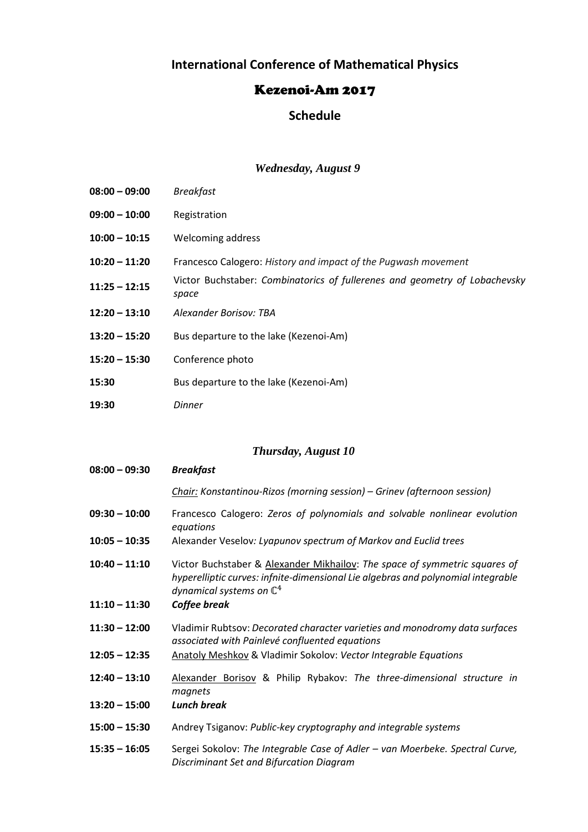# **International Conference of Mathematical Physics**

### Kezenoi-Am 2017

### **Schedule**

#### *Wednesday, August 9*

| $08:00 - 09:00$ | <b>Breakfast</b>                                                                    |
|-----------------|-------------------------------------------------------------------------------------|
| 09:00 - 10:00   | Registration                                                                        |
| $10:00 - 10:15$ | Welcoming address                                                                   |
| $10:20 - 11:20$ | Francesco Calogero: History and impact of the Pugwash movement                      |
| $11:25 - 12:15$ | Victor Buchstaber: Combinatorics of fullerenes and geometry of Lobachevsky<br>space |
| $12:20 - 13:10$ | Alexander Borisov: TBA                                                              |
| $13:20 - 15:20$ | Bus departure to the lake (Kezenoi-Am)                                              |
| $15:20 - 15:30$ | Conference photo                                                                    |
| 15:30           | Bus departure to the lake (Kezenoi-Am)                                              |
| 19:30           | <b>Dinner</b>                                                                       |

# *Thursday, August 10*

| $08:00 - 09:30$ | <b>Breakfast</b>                                                                                                                                                                                      |
|-----------------|-------------------------------------------------------------------------------------------------------------------------------------------------------------------------------------------------------|
|                 | Chair: Konstantinou-Rizos (morning session) – Grinev (afternoon session)                                                                                                                              |
| $09:30 - 10:00$ | Francesco Calogero: Zeros of polynomials and solvable nonlinear evolution<br>equations                                                                                                                |
| $10:05 - 10:35$ | Alexander Veselov: Lyapunov spectrum of Markov and Euclid trees                                                                                                                                       |
| $10:40 - 11:10$ | Victor Buchstaber & Alexander Mikhailov: The space of symmetric squares of<br>hyperelliptic curves: infnite-dimensional Lie algebras and polynomial integrable<br>dynamical systems on $\mathbb{C}^4$ |
| $11:10 - 11:30$ | Coffee break                                                                                                                                                                                          |
| $11:30 - 12:00$ | Vladimir Rubtsov: Decorated character varieties and monodromy data surfaces<br>associated with Painlevé confluented equations                                                                         |
| $12:05 - 12:35$ | Anatoly Meshkov & Vladimir Sokolov: Vector Integrable Equations                                                                                                                                       |
| $12:40 - 13:10$ | Alexander Borisov & Philip Rybakov: The three-dimensional structure in<br>magnets                                                                                                                     |
| $13:20 - 15:00$ | <b>Lunch break</b>                                                                                                                                                                                    |
| $15:00 - 15:30$ | Andrey Tsiganov: Public-key cryptography and integrable systems                                                                                                                                       |
| $15:35 - 16:05$ | Sergei Sokolov: The Integrable Case of Adler - van Moerbeke. Spectral Curve,<br>Discriminant Set and Bifurcation Diagram                                                                              |